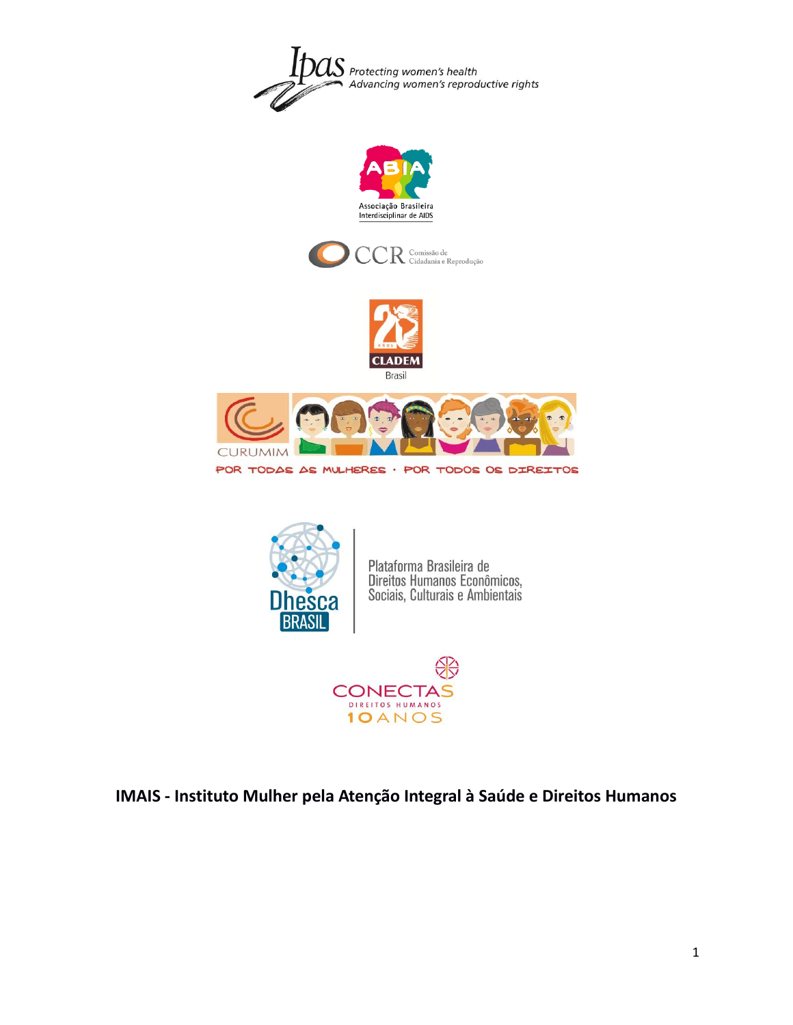









POR TODAS AS MULHERES · POR TODOS OS DIREITOS



Plataforma Brasileira de<br>Direitos Humanos Econômicos,<br>Sociais, Culturais e Ambientais



# **IMAIS - Instituto Mulher pela Atenção Integral à Saúde e Direitos Humanos**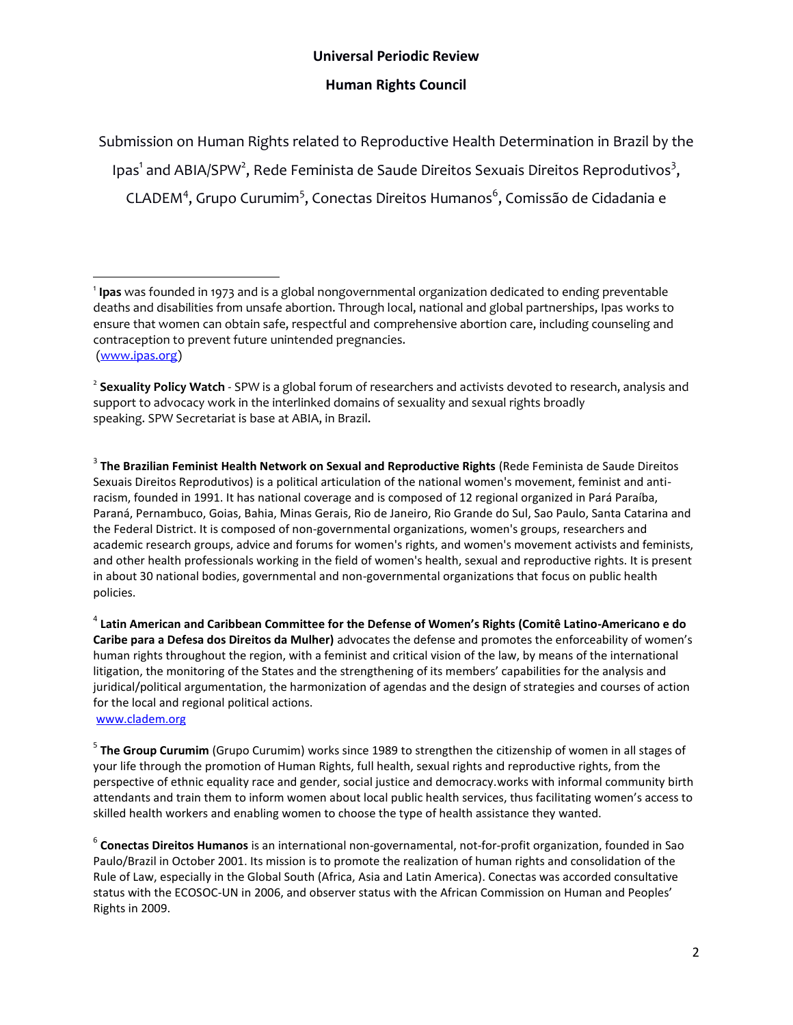# **Universal Periodic Review**

### **Human Rights Council**

Submission on Human Rights related to Reproductive Health Determination in Brazil by the Ipas<sup>1</sup> and ABIA/SPW<sup>2</sup>, Rede Feminista de Saude Direitos Sexuais Direitos Reprodutivos<sup>3</sup>, CLADEM<sup>4</sup>, Grupo Curumim<sup>5</sup>, Conectas Direitos Humanos<sup>6</sup>, Comissão de Cidadania e

2 **Sexuality Policy Watch** - SPW is a global forum of researchers and activists devoted to research, analysis and support to advocacy work in the interlinked domains of sexuality and sexual rights broadly speaking. SPW Secretariat is base at ABIA, in Brazil.

3 **The Brazilian Feminist Health Network on Sexual and Reproductive Rights** (Rede Feminista de Saude Direitos Sexuais Direitos Reprodutivos) is a political articulation of the national women's movement, feminist and antiracism, founded in 1991. It has national coverage and is composed of 12 regional organized in Pará Paraíba, Paraná, Pernambuco, Goias, Bahia, Minas Gerais, Rio de Janeiro, Rio Grande do Sul, Sao Paulo, Santa Catarina and the Federal District. It is composed of non-governmental organizations, women's groups, researchers and academic research groups, advice and forums for women's rights, and women's movement activists and feminists, and other health professionals working in the field of women's health, sexual and reproductive rights. It is present in about 30 national bodies, governmental and non-governmental organizations that focus on public health policies.

4 **Latin American and Caribbean Committee for the Defense of Women's Rights (Comitê Latino-Americano e do Caribe para a Defesa dos Direitos da Mulher)** advocates the defense and promotes the enforceability of women's human rights throughout the region, with a feminist and critical vision of the law, by means of the international litigation, the monitoring of the States and the strengthening of its members' capabilities for the analysis and juridical/political argumentation, the harmonization of agendas and the design of strategies and courses of action for the local and regional political actions.

[www.cladem.org](http://www.cladem.org/)

l

5 **The Group Curumim** (Grupo Curumim) works since 1989 to strengthen the citizenship of women in all stages of your life through the promotion of Human Rights, full health, sexual rights and reproductive rights, from the perspective of ethnic equality race and gender, social justice and democracy.works with informal community birth attendants and train them to inform women about local public health services, thus facilitating women's access to skilled health workers and enabling women to choose the type of health assistance they wanted.

6 **Conectas Direitos Humanos** is an international non-governamental, not-for-profit organization, founded in Sao Paulo/Brazil in October 2001. Its mission is to promote the realization of human rights and consolidation of the Rule of Law, especially in the Global South (Africa, Asia and Latin America). Conectas was accorded consultative status with the ECOSOC-UN in 2006, and observer status with the African Commission on Human and Peoples' Rights in 2009.

<sup>1</sup> **Ipas** was founded in 1973 and is a global nongovernmental organization dedicated to ending preventable deaths and disabilities from unsafe abortion. Through local, national and global partnerships, Ipas works to ensure that women can obtain safe, respectful and comprehensive abortion care, including counseling and contraception to prevent future unintended pregnancies. [\(www.ipas.org\)](http://www.ipas.org/)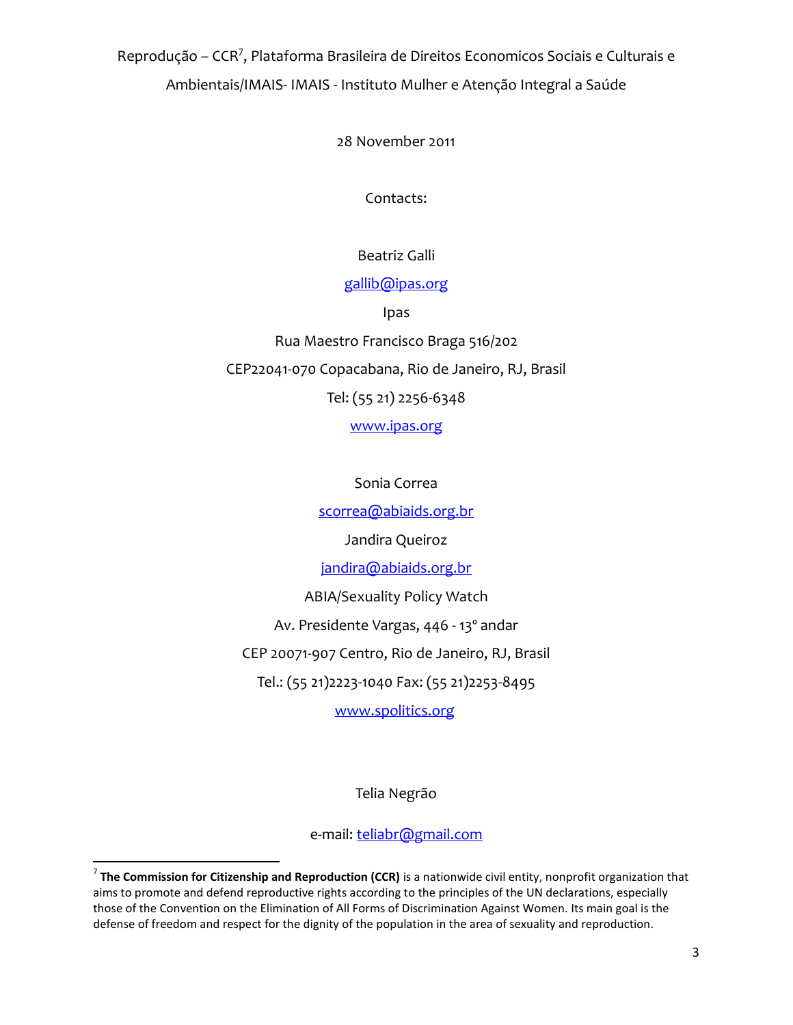Reprodução – CCR<sup>7</sup>, Plataforma Brasileira de Direitos Economicos Sociais e Culturais e Ambientais/IMAIS- IMAIS - Instituto Mulher e Atenção Integral a Saúde

28 November 2011

Contacts:

Beatriz Galli

### [gallib@ipas.org](mailto:gallib@ipas.org)

Ipas

Rua Maestro Francisco Braga 516/202 CEP22041-070 Copacabana, Rio de Janeiro, RJ, Brasil Tel: (55 21) 2256-6348 [www.ipas.org](http://www.ipas.org/)

Sonia Correa

[scorrea@abiaids.org.br](mailto:scorrea@abiaids.org.br)

Jandira Queiroz

[jandira@abiaids.org.br](mailto:jandira@abiaids.org.br)

ABIA/Sexuality Policy Watch

Av. Presidente Vargas, 446 - 13º andar

CEP 20071-907 Centro, Rio de Janeiro, RJ, Brasil

Tel.: (55 21)2223-1040 Fax: (55 21)2253-8495

[www.spolitics.org](http://www.spolitics.org/)

Telia Negrão

e-mail: [teliabr@gmail.com](mailto:teliabr@gmail.com)

 $\overline{a}$ 

<sup>7</sup> **The Commission for Citizenship and Reproduction (CCR)** is a nationwide civil entity, nonprofit organization that aims to promote and defend reproductive rights according to the principles of the UN declarations, especially those of the Convention on the Elimination of All Forms of Discrimination Against Women. Its main goal is the defense of freedom and respect for the dignity of the population in the area of sexuality and reproduction.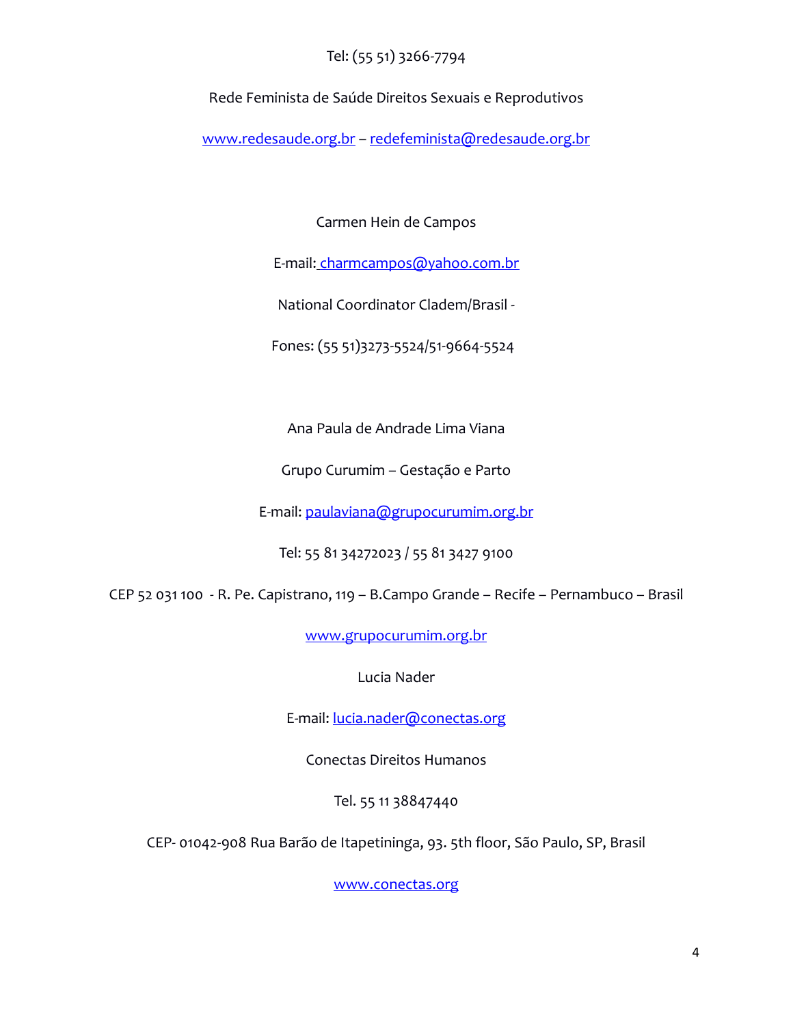# Tel: (55 51) 3266-7794

Rede Feminista de Saúde Direitos Sexuais e Reprodutivos

[www.redesaude.org.br](http://www.redesaude.org.br/) – [redefeminista@redesaude.org.br](mailto:redefeminista@redesaude.org.br)

Carmen Hein de Campos

E-mail: [charmcampos@yahoo.com.br](mailto:charmcampos@yahoo.com.br)

National Coordinator Cladem/Brasil -

Fones: (55 51)3273-5524/51-9664-5524

Ana Paula de Andrade Lima Viana

Grupo Curumim – Gestação e Parto

E-mail: [paulaviana@grupocurumim.org.br](mailto:paulaviana@grupocurumim.org.br)

Tel: 55 81 34272023 / 55 81 3427 9100

CEP 52 031 100 - R. Pe. Capistrano, 119 – B.Campo Grande – Recife – Pernambuco – Brasil

[www.grupocurumim.org.br](http://www.grupocurumim.org.br/)

Lucia Nader

E-mail: [lucia.nader@conectas.org](mailto:lucia.nader@conectas.org)

Conectas Direitos Humanos

Tel. 55 11 38847440

CEP- 01042-908 Rua Barão de Itapetininga, 93. 5th floor, São Paulo, SP, Brasil

[www.conectas.org](http://www.conectas.org/)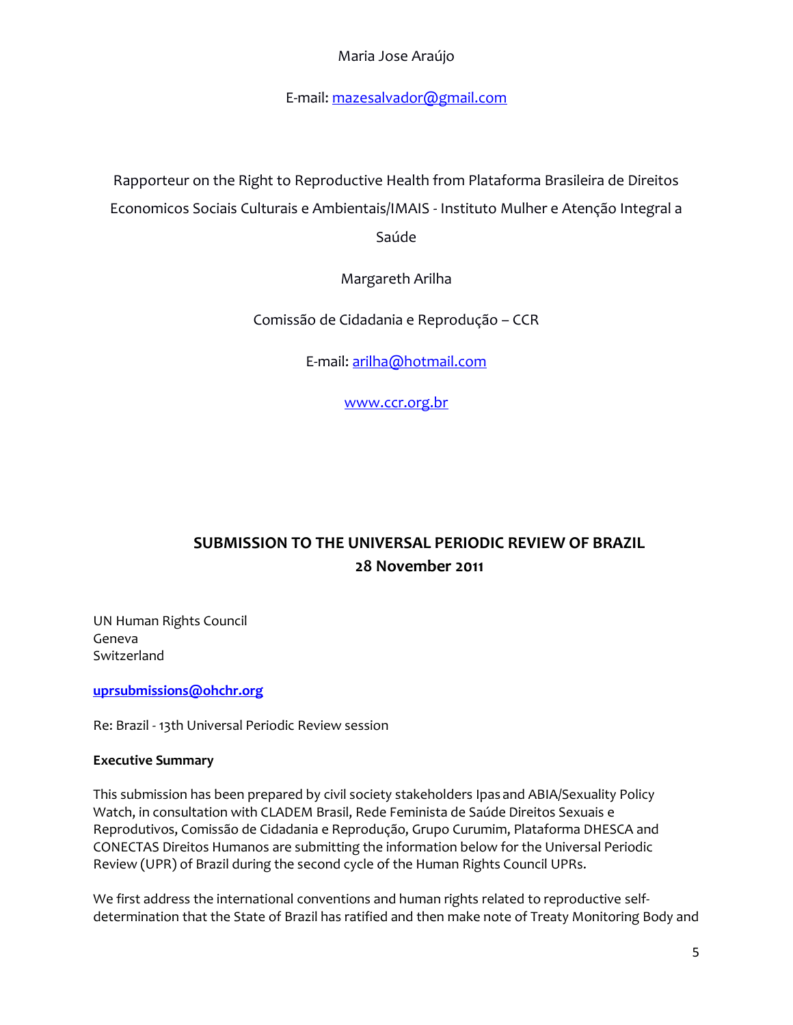# Maria Jose Araújo

E-mail: [mazesalvador@gmail.com](mailto:mazesalvador@gmail.com)

Rapporteur on the Right to Reproductive Health from Plataforma Brasileira de Direitos Economicos Sociais Culturais e Ambientais/IMAIS - Instituto Mulher e Atenção Integral a

Saúde

Margareth Arilha

Comissão de Cidadania e Reprodução – CCR

E-mail: [arilha@hotmail.com](mailto:arilha@hotmail.com)

[www.ccr.org.br](http://www.ccr.org.br/)

# **SUBMISSION TO THE UNIVERSAL PERIODIC REVIEW OF BRAZIL 28 November 2011**

UN Human Rights Council Geneva Switzerland

**[uprsubmissions@ohchr.org](mailto:uprsubmissions@ohchr.org)**

Re: Brazil - 13th Universal Periodic Review session

#### **Executive Summary**

This submission has been prepared by civil society stakeholders Ipas and ABIA/Sexuality Policy Watch, in consultation with CLADEM Brasil, Rede Feminista de Saúde Direitos Sexuais e Reprodutivos, Comissão de Cidadania e Reprodução, Grupo Curumim, Plataforma DHESCA and CONECTAS Direitos Humanos are submitting the information below for the Universal Periodic Review (UPR) of Brazil during the second cycle of the Human Rights Council UPRs.

We first address the international conventions and human rights related to reproductive selfdetermination that the State of Brazil has ratified and then make note of Treaty Monitoring Body and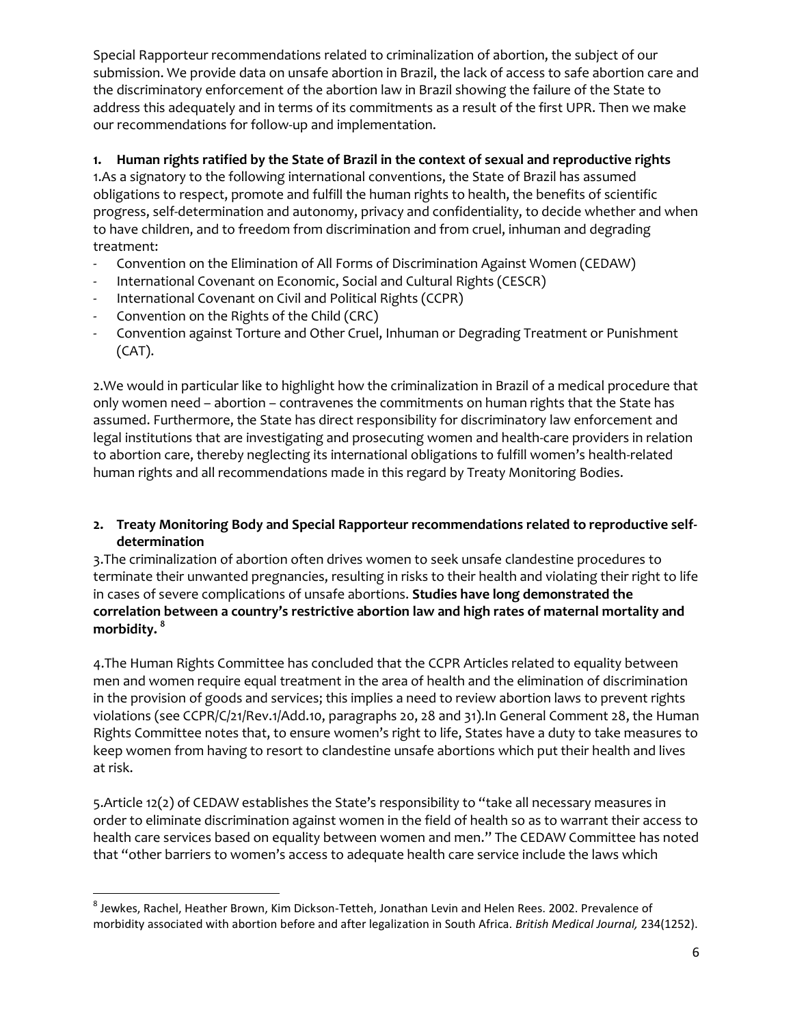Special Rapporteur recommendations related to criminalization of abortion, the subject of our submission. We provide data on unsafe abortion in Brazil, the lack of access to safe abortion care and the discriminatory enforcement of the abortion law in Brazil showing the failure of the State to address this adequately and in terms of its commitments as a result of the first UPR. Then we make our recommendations for follow-up and implementation.

## **1. Human rights ratified by the State of Brazil in the context of sexual and reproductive rights**

1.As a signatory to the following international conventions, the State of Brazil has assumed obligations to respect, promote and fulfill the human rights to health, the benefits of scientific progress, self-determination and autonomy, privacy and confidentiality, to decide whether and when to have children, and to freedom from discrimination and from cruel, inhuman and degrading treatment:

- Convention on the Elimination of All Forms of Discrimination Against Women (CEDAW)
- International Covenant on Economic, Social and Cultural Rights (CESCR)
- International Covenant on Civil and Political Rights (CCPR)
- Convention on the Rights of the Child (CRC)
- Convention against Torture and Other Cruel, Inhuman or Degrading Treatment or Punishment (CAT).

2.We would in particular like to highlight how the criminalization in Brazil of a medical procedure that only women need – abortion – contravenes the commitments on human rights that the State has assumed. Furthermore, the State has direct responsibility for discriminatory law enforcement and legal institutions that are investigating and prosecuting women and health-care providers in relation to abortion care, thereby neglecting its international obligations to fulfill women's health-related human rights and all recommendations made in this regard by Treaty Monitoring Bodies.

## **2. Treaty Monitoring Body and Special Rapporteur recommendations related to reproductive selfdetermination**

3.The criminalization of abortion often drives women to seek unsafe clandestine procedures to terminate their unwanted pregnancies, resulting in risks to their health and violating their right to life in cases of severe complications of unsafe abortions. **Studies have long demonstrated the correlation between a country's restrictive abortion law and high rates of maternal mortality and morbidity. <sup>8</sup>**

4.The Human Rights Committee has concluded that the CCPR Articles related to equality between men and women require equal treatment in the area of health and the elimination of discrimination in the provision of goods and services; this implies a need to review abortion laws to prevent rights violations (see CCPR/C/21/Rev.1/Add.10, paragraphs 20, 28 and 31).In General Comment 28, the Human Rights Committee notes that, to ensure women's right to life, States have a duty to take measures to keep women from having to resort to clandestine unsafe abortions which put their health and lives at risk.

5.Article 12(2) of CEDAW establishes the State's responsibility to "take all necessary measures in order to eliminate discrimination against women in the field of health so as to warrant their access to health care services based on equality between women and men." The CEDAW Committee has noted that "other barriers to women's access to adequate health care service include the laws which

l <sup>8</sup> Jewkes, Rachel, Heather Brown, Kim Dickson-Tetteh, Jonathan Levin and Helen Rees. 2002. Prevalence of morbidity associated with abortion before and after legalization in South Africa. *British Medical Journal,* 234(1252).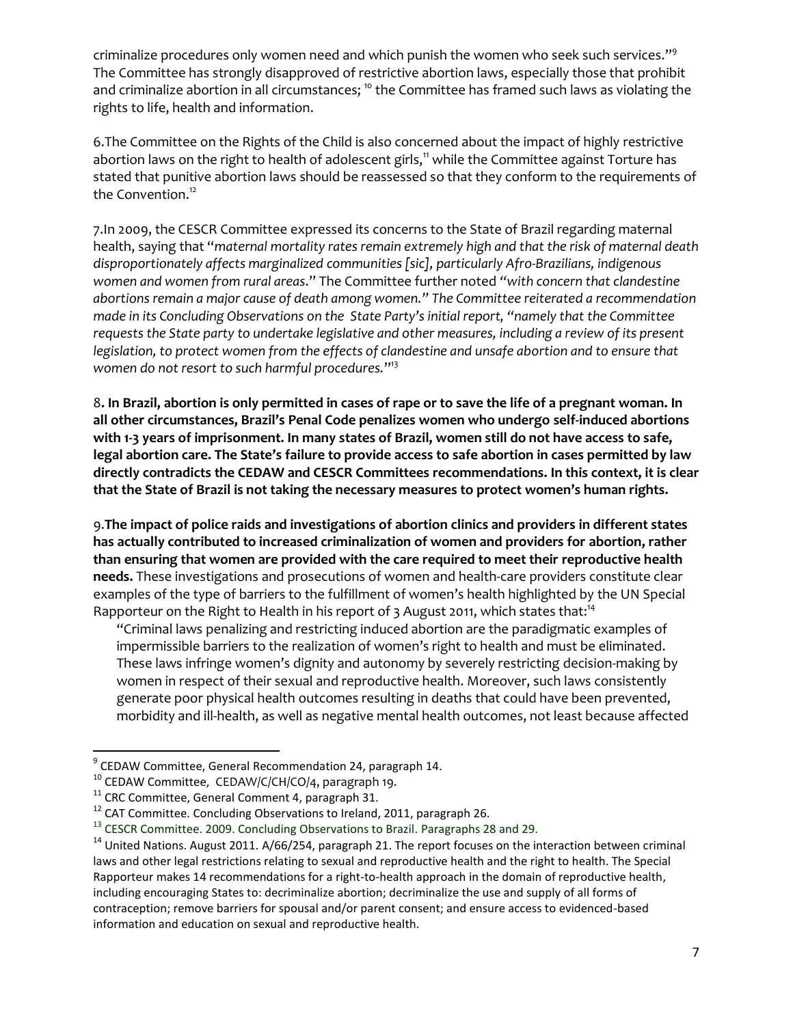criminalize procedures only women need and which punish the women who seek such services."<sup>9</sup> The Committee has strongly disapproved of restrictive abortion laws, especially those that prohibit and criminalize abortion in all circumstances; <sup>10</sup> the Committee has framed such laws as violating the rights to life, health and information.

6.The Committee on the Rights of the Child is also concerned about the impact of highly restrictive abortion laws on the right to health of adolescent girls,<sup>11</sup> while the Committee against Torture has stated that punitive abortion laws should be reassessed so that they conform to the requirements of the Convention.<sup>12</sup>

7.In 2009, the CESCR Committee expressed its concerns to the State of Brazil regarding maternal health, saying that "*maternal mortality rates remain extremely high and that the risk of maternal death disproportionately affects marginalized communities [sic], particularly Afro-Brazilians, indigenous women and women from rural areas*." The Committee further noted *"with concern that clandestine abortions remain a major cause of death among women." The Committee reiterated a recommendation made in its Concluding Observations on the State Party's initial report, "namely that the Committee requests the State party to undertake legislative and other measures, including a review of its present legislation, to protect women from the effects of clandestine and unsafe abortion and to ensure that women do not resort to such harmful procedures.*" 13

8**. In Brazil, abortion is only permitted in cases of rape or to save the life of a pregnant woman. In all other circumstances, Brazil's Penal Code penalizes women who undergo self-induced abortions with 1-3 years of imprisonment. In many states of Brazil, women still do not have access to safe, legal abortion care. The State's failure to provide access to safe abortion in cases permitted by law directly contradicts the CEDAW and CESCR Committees recommendations. In this context, it is clear that the State of Brazil is not taking the necessary measures to protect women's human rights.** 

9.**The impact of police raids and investigations of abortion clinics and providers in different states has actually contributed to increased criminalization of women and providers for abortion, rather than ensuring that women are provided with the care required to meet their reproductive health needs.** These investigations and prosecutions of women and health-care providers constitute clear examples of the type of barriers to the fulfillment of women's health highlighted by the UN Special Rapporteur on the Right to Health in his report of 3 August 2011, which states that:<sup>14</sup>

"Criminal laws penalizing and restricting induced abortion are the paradigmatic examples of impermissible barriers to the realization of women's right to health and must be eliminated. These laws infringe women's dignity and autonomy by severely restricting decision-making by women in respect of their sexual and reproductive health. Moreover, such laws consistently generate poor physical health outcomes resulting in deaths that could have been prevented, morbidity and ill-health, as well as negative mental health outcomes, not least because affected

 9 CEDAW Committee, General Recommendation 24, paragraph 14.

<sup>10</sup> CEDAW Committee, CEDAW/C/CH/CO/4, paragraph 19.

<sup>&</sup>lt;sup>11</sup> CRC Committee, General Comment 4, paragraph 31.

<sup>&</sup>lt;sup>12</sup> CAT Committee. Concluding Observations to Ireland, 2011, paragraph 26.

<sup>&</sup>lt;sup>13</sup> CESCR Committee. 2009. Concluding Observations to Brazil. Paragraphs 28 and 29.

<sup>&</sup>lt;sup>14</sup> United Nations. August 2011. A/66/254, paragraph 21. The report focuses on the interaction between criminal laws and other legal restrictions relating to sexual and reproductive health and the right to health. The Special Rapporteur makes 14 recommendations for a right-to-health approach in the domain of reproductive health, including encouraging States to: decriminalize abortion; decriminalize the use and supply of all forms of contraception; remove barriers for spousal and/or parent consent; and ensure access to evidenced-based information and education on sexual and reproductive health.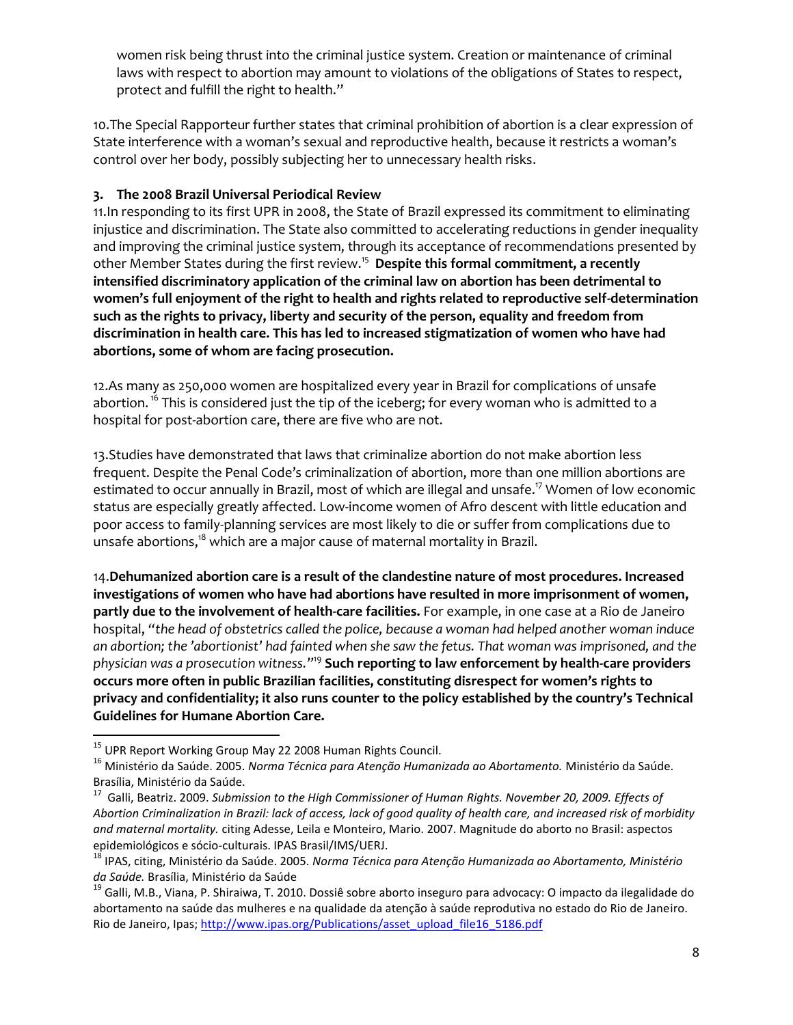women risk being thrust into the criminal justice system. Creation or maintenance of criminal laws with respect to abortion may amount to violations of the obligations of States to respect, protect and fulfill the right to health."

10.The Special Rapporteur further states that criminal prohibition of abortion is a clear expression of State interference with a woman's sexual and reproductive health, because it restricts a woman's control over her body, possibly subjecting her to unnecessary health risks.

### **3. The 2008 Brazil Universal Periodical Review**

11.In responding to its first UPR in 2008, the State of Brazil expressed its commitment to eliminating injustice and discrimination. The State also committed to accelerating reductions in gender inequality and improving the criminal justice system, through its acceptance of recommendations presented by other Member States during the first review.<sup>15</sup> **Despite this formal commitment, a recently intensified discriminatory application of the criminal law on abortion has been detrimental to women's full enjoyment of the right to health and rights related to reproductive self-determination such as the rights to privacy, liberty and security of the person, equality and freedom from discrimination in health care. This has led to increased stigmatization of women who have had abortions, some of whom are facing prosecution.**

12.As many as 250,000 women are hospitalized every year in Brazil for complications of unsafe abortion.<sup>16</sup> This is considered just the tip of the iceberg; for every woman who is admitted to a hospital for post-abortion care, there are five who are not.

13.Studies have demonstrated that laws that criminalize abortion do not make abortion less frequent. Despite the Penal Code's criminalization of abortion, more than one million abortions are estimated to occur annually in Brazil, most of which are illegal and unsafe. <sup>17</sup> Women of low economic status are especially greatly affected. Low-income women of Afro descent with little education and poor access to family-planning services are most likely to die or suffer from complications due to unsafe abortions, <sup>18</sup> which are a major cause of maternal mortality in Brazil.

14.**Dehumanized abortion care is a result of the clandestine nature of most procedures. Increased investigations of women who have had abortions have resulted in more imprisonment of women, partly due to the involvement of health-care facilities.** For example, in one case at a Rio de Janeiro hospital, *"the head of obstetrics called the police, because a woman had helped another woman induce an abortion; the 'abortionist' had fainted when she saw the fetus. That woman was imprisoned, and the physician was a prosecution witness."*<sup>19</sup> **Such reporting to law enforcement by health-care providers occurs more often in public Brazilian facilities, constituting disrespect for women's rights to privacy and confidentiality; it also runs counter to the policy established by the country's Technical Guidelines for Humane Abortion Care.**

 $\overline{\phantom{a}}$ <sup>15</sup> UPR Report Working Group May 22 2008 Human Rights Council.

<sup>16</sup> Ministério da Saúde. 2005. *Norma Técnica para Atenção Humanizada ao Abortamento.* Ministério da Saúde. Brasília, Ministério da Saúde.

<sup>&</sup>lt;sup>17</sup> Galli, Beatriz. 2009. *Submission to the High Commissioner of Human Rights. November 20, 2009. Effects of Abortion Criminalization in Brazil: lack of access, lack of good quality of health care, and increased risk of morbidity and maternal mortality.* citing Adesse, Leila e Monteiro, Mario. 2007. Magnitude do aborto no Brasil: aspectos epidemiológicos e sócio-culturais. IPAS Brasil/IMS/UERJ.

<sup>18</sup> IPAS, citing, Ministério da Saúde. 2005. *Norma Técnica para Atenção Humanizada ao Abortamento, Ministério da Saúde.* Brasília, Ministério da Saúde

<sup>&</sup>lt;sup>19</sup> Galli, M.B., Viana, P. Shiraiwa, T. 2010. Dossiê sobre aborto inseguro para advocacy: O impacto da ilegalidade do abortamento na saúde das mulheres e na qualidade da atenção à saúde reprodutiva no estado do Rio de Janeiro. Rio de Janeiro, Ipas; [http://www.ipas.org/Publications/asset\\_upload\\_file16\\_5186.pdf](http://www.ipas.org/Publications/asset_upload_file16_5186.pdf)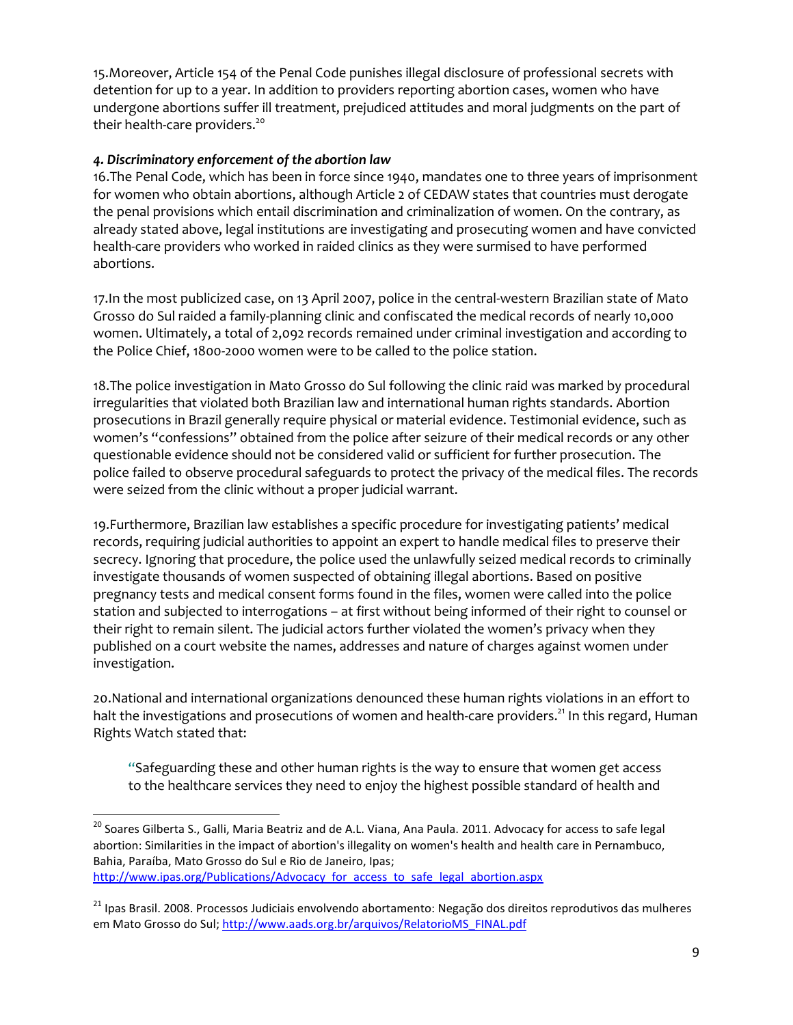15.Moreover, Article 154 of the Penal Code punishes illegal disclosure of professional secrets with detention for up to a year. In addition to providers reporting abortion cases, women who have undergone abortions suffer ill treatment, prejudiced attitudes and moral judgments on the part of their health-care providers.<sup>20</sup>

### *4. Discriminatory enforcement of the abortion law*

16.The Penal Code, which has been in force since 1940, mandates one to three years of imprisonment for women who obtain abortions, although Article 2 of CEDAW states that countries must derogate the penal provisions which entail discrimination and criminalization of women. On the contrary, as already stated above, legal institutions are investigating and prosecuting women and have convicted health-care providers who worked in raided clinics as they were surmised to have performed abortions.

17.In the most publicized case, on 13 April 2007, police in the central-western Brazilian state of Mato Grosso do Sul raided a family-planning clinic and confiscated the medical records of nearly 10,000 women. Ultimately, a total of 2,092 records remained under criminal investigation and according to the Police Chief, 1800-2000 women were to be called to the police station.

18.The police investigation in Mato Grosso do Sul following the clinic raid was marked by procedural irregularities that violated both Brazilian law and international human rights standards. Abortion prosecutions in Brazil generally require physical or material evidence. Testimonial evidence, such as women's "confessions" obtained from the police after seizure of their medical records or any other questionable evidence should not be considered valid or sufficient for further prosecution. The police failed to observe procedural safeguards to protect the privacy of the medical files. The records were seized from the clinic without a proper judicial warrant.

19.Furthermore, Brazilian law establishes a specific procedure for investigating patients' medical records, requiring judicial authorities to appoint an expert to handle medical files to preserve their secrecy. Ignoring that procedure, the police used the unlawfully seized medical records to criminally investigate thousands of women suspected of obtaining illegal abortions. Based on positive pregnancy tests and medical consent forms found in the files, women were called into the police station and subjected to interrogations – at first without being informed of their right to counsel or their right to remain silent. The judicial actors further violated the women's privacy when they published on a court website the names, addresses and nature of charges against women under investigation.

20.National and international organizations denounced these human rights violations in an effort to halt the investigations and prosecutions of women and health-care providers.<sup>21</sup> In this regard, Human Rights Watch stated that:

"Safeguarding these and other human rights is the way to ensure that women get access to the healthcare services they need to enjoy the highest possible standard of health and

 $\overline{\phantom{a}}$ 

<sup>&</sup>lt;sup>20</sup> Soares Gilberta S., Galli, Maria Beatriz and de A.L. Viana, Ana Paula. 2011. Advocacy for access to safe legal abortion: Similarities in the impact of abortion's illegality on women's health and health care in Pernambuco, Bahia, Paraíba, Mato Grosso do Sul e Rio de Janeiro, Ipas;

http://www.ipas.org/Publications/Advocacy for access to safe legal abortion.aspx

<sup>&</sup>lt;sup>21</sup> Ipas Brasil. 2008. Processos Judiciais envolvendo abortamento: Negação dos direitos reprodutivos das mulheres em Mato Grosso do Sul[; http://www.aads.org.br/arquivos/RelatorioMS\\_FINAL.pdf](http://www.aads.org.br/arquivos/RelatorioMS_FINAL.pdf)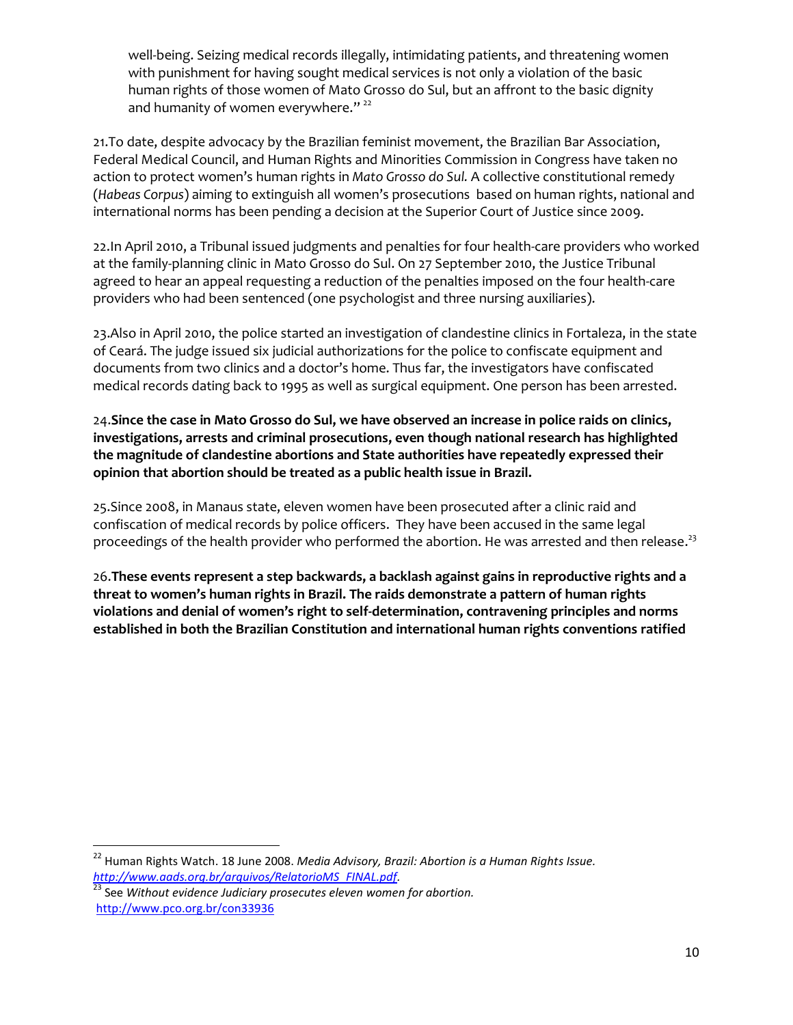well-being. Seizing medical records illegally, intimidating patients, and threatening women with punishment for having sought medical services is not only a violation of the basic human rights of those women of Mato Grosso do Sul, but an affront to the basic dignity and humanity of women everywhere."<sup>22</sup>

21.To date, despite advocacy by the Brazilian feminist movement, the Brazilian Bar Association, Federal Medical Council, and Human Rights and Minorities Commission in Congress have taken no action to protect women's human rights in *Mato Grosso do Sul.* A collective constitutional remedy (*Habeas Corpus*) aiming to extinguish all women's prosecutions based on human rights, national and international norms has been pending a decision at the Superior Court of Justice since 2009.

22.In April 2010, a Tribunal issued judgments and penalties for four health-care providers who worked at the family-planning clinic in Mato Grosso do Sul. On 27 September 2010, the Justice Tribunal agreed to hear an appeal requesting a reduction of the penalties imposed on the four health-care providers who had been sentenced (one psychologist and three nursing auxiliaries).

23.Also in April 2010, the police started an investigation of clandestine clinics in Fortaleza, in the state of Ceará. The judge issued six judicial authorizations for the police to confiscate equipment and documents from two clinics and a doctor's home. Thus far, the investigators have confiscated medical records dating back to 1995 as well as surgical equipment. One person has been arrested.

24.**Since the case in Mato Grosso do Sul, we have observed an increase in police raids on clinics, investigations, arrests and criminal prosecutions, even though national research has highlighted the magnitude of clandestine abortions and State authorities have repeatedly expressed their opinion that abortion should be treated as a public health issue in Brazil.**

25.Since 2008, in Manaus state, eleven women have been prosecuted after a clinic raid and confiscation of medical records by police officers. They have been accused in the same legal proceedings of the health provider who performed the abortion. He was arrested and then release.<sup>23</sup>

26.**These events represent a step backwards, a backlash against gains in reproductive rights and a threat to women's human rights in Brazil. The raids demonstrate a pattern of human rights violations and denial of women's right to self-determination, contravening principles and norms established in both the Brazilian Constitution and international human rights conventions ratified** 

l

<sup>22</sup> Human Rights Watch. 18 June 2008. *Media Advisory, Brazil: Abortion is a Human Rights Issue. [http://www.aads.org.br/arquivos/RelatorioMS\\_FINAL.pdf.](http://www.aads.org.br/arquivos/RelatorioMS_FINAL.pdf)*

<sup>23</sup> See *Without evidence Judiciary prosecutes eleven women for abortion.* <http://www.pco.org.br/con33936>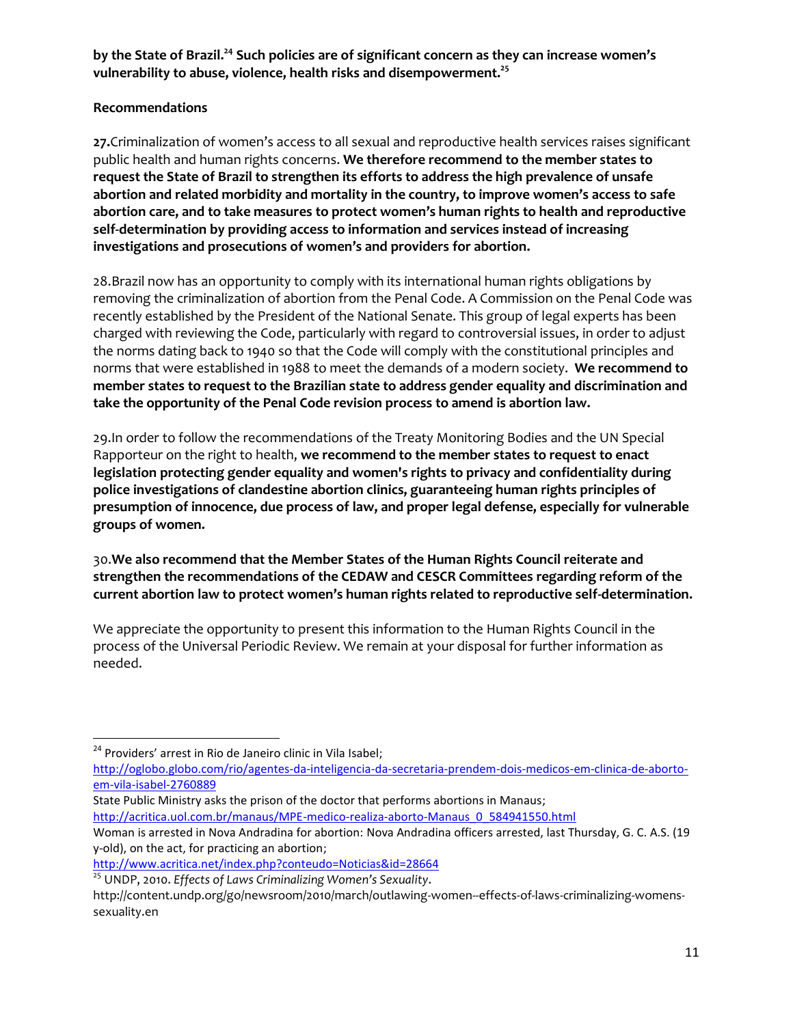**by the State of Brazil. <sup>24</sup> Such policies are of significant concern as they can increase women's vulnerability to abuse, violence, health risks and disempowerment.<sup>25</sup>**

### **Recommendations**

**27.**Criminalization of women's access to all sexual and reproductive health services raises significant public health and human rights concerns. **We therefore recommend to the member states to request the State of Brazil to strengthen its efforts to address the high prevalence of unsafe abortion and related morbidity and mortality in the country, to improve women's access to safe abortion care, and to take measures to protect women's human rights to health and reproductive self-determination by providing access to information and services instead of increasing investigations and prosecutions of women's and providers for abortion.** 

28.Brazil now has an opportunity to comply with its international human rights obligations by removing the criminalization of abortion from the Penal Code. A Commission on the Penal Code was recently established by the President of the National Senate. This group of legal experts has been charged with reviewing the Code, particularly with regard to controversial issues, in order to adjust the norms dating back to 1940 so that the Code will comply with the constitutional principles and norms that were established in 1988 to meet the demands of a modern society. **We recommend to member states to request to the Brazilian state to address gender equality and discrimination and take the opportunity of the Penal Code revision process to amend is abortion law.**

29.In order to follow the recommendations of the Treaty Monitoring Bodies and the UN Special Rapporteur on the right to health, **we recommend to the member states to request to enact legislation protecting gender equality and women's rights to privacy and confidentiality during police investigations of clandestine abortion clinics, guaranteeing human rights principles of presumption of innocence, due process of law, and proper legal defense, especially for vulnerable groups of women.**

30.**We also recommend that the Member States of the Human Rights Council reiterate and strengthen the recommendations of the CEDAW and CESCR Committees regarding reform of the current abortion law to protect women's human rights related to reproductive self-determination.** 

We appreciate the opportunity to present this information to the Human Rights Council in the process of the Universal Periodic Review. We remain at your disposal for further information as needed.

 $\overline{\phantom{a}}$ 

- State Public Ministry asks the prison of the doctor that performs abortions in Manaus;
- [http://acritica.uol.com.br/manaus/MPE-medico-realiza-aborto-Manaus\\_0\\_584941550.html](http://acritica.uol.com.br/manaus/MPE-medico-realiza-aborto-Manaus_0_584941550.html)

<sup>&</sup>lt;sup>24</sup> Providers' arrest in Rio de Janeiro clinic in Vila Isabel;

[http://oglobo.globo.com/rio/agentes-da-inteligencia-da-secretaria-prendem-dois-medicos-em-clinica-de-aborto](http://oglobo.globo.com/rio/agentes-da-inteligencia-da-secretaria-prendem-dois-medicos-em-clinica-de-aborto-em-vila-isabel-2760889)[em-vila-isabel-2760889](http://oglobo.globo.com/rio/agentes-da-inteligencia-da-secretaria-prendem-dois-medicos-em-clinica-de-aborto-em-vila-isabel-2760889)

Woman is arrested in Nova Andradina for abortion: Nova Andradina officers arrested, last Thursday, G. C. A.S. (19 y-old), on the act, for practicing an abortion;

<http://www.acritica.net/index.php?conteudo=Noticias&id=28664>

<sup>25</sup> UNDP, 2010. *Effects of Laws Criminalizing Women's Sexuality*.

[http://content.undp.org/go/newsroom/2010/march/outlawing-women--effects-of-laws-criminalizing-womens](http://content.undp.org/go/newsroom/2010/march/outlawing-women--effects-of-laws-criminalizing-womens-sexuality.en)[sexuality.en](http://content.undp.org/go/newsroom/2010/march/outlawing-women--effects-of-laws-criminalizing-womens-sexuality.en)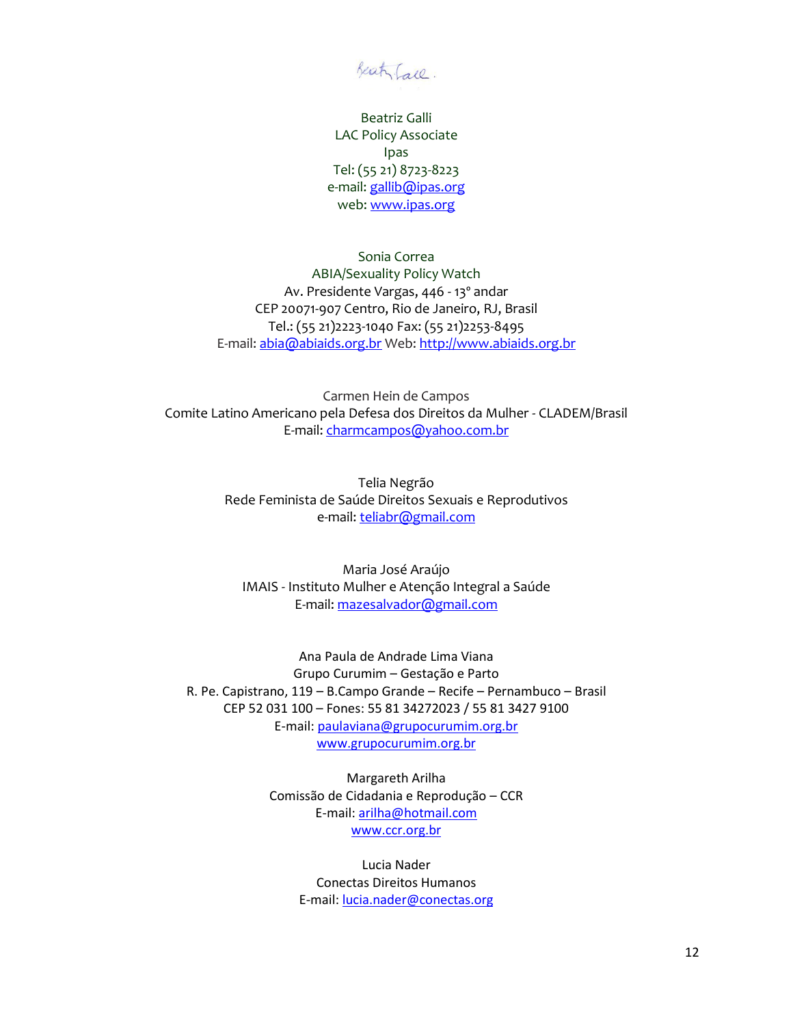Beaty Fall.

Beatriz Galli LAC Policy Associate Ipas Tel: (55 21) 8723-8223 e-mail: [gallib@ipas.org](mailto:gallib@ipas.org) web: [www.ipas.org](http://www.ipas.org/)

Sonia Correa ABIA/Sexuality Policy Watch Av. Presidente Vargas, 446 - 13º andar CEP 20071-907 Centro, Rio de Janeiro, RJ, Brasil Tel.: (55 21)2223-1040 Fax: (55 21)2253-8495 E-mail[: abia@abiaids.org.br](mailto:abia@abiaids.org.br) Web: [http://www.abiaids.org.br](http://www.abiaids.org.br/)

Carmen Hein de Campos Comite Latino Americano pela Defesa dos Direitos da Mulher - CLADEM/Brasil E-mail: [charmcampos@yahoo.com.br](mailto:charmcampos@yahoo.com.br)

> Telia Negrão Rede Feminista de Saúde Direitos Sexuais e Reprodutivos e-mail: [teliabr@gmail.com](mailto:teliabr@gmail.com)

Maria José Araújo IMAIS - Instituto Mulher e Atenção Integral a Saúde E-mail[: mazesalvador@gmail.com](mailto:mazesalvador@gmail.com)

Ana Paula de Andrade Lima Viana Grupo Curumim – Gestação e Parto R. Pe. Capistrano, 119 – B.Campo Grande – Recife – Pernambuco – Brasil CEP 52 031 100 – Fones: 55 81 34272023 / 55 81 3427 9100 E-mail: [paulaviana@grupocurumim.org.br](mailto:paulaviana@grupocurumim.org.br) [www.grupocurumim.org.br](http://www.grupocurumim.org.br/)

> Margareth Arilha Comissão de Cidadania e Reprodução – CCR E-mail: [arilha@hotmail.com](mailto:arilha@hotmail.com) [www.ccr.org.br](http://www.ccr.org.br/)

> > Lucia Nader Conectas Direitos Humanos E-mail: [lucia.nader@conectas.org](mailto:lucia.nader@conectas.org)